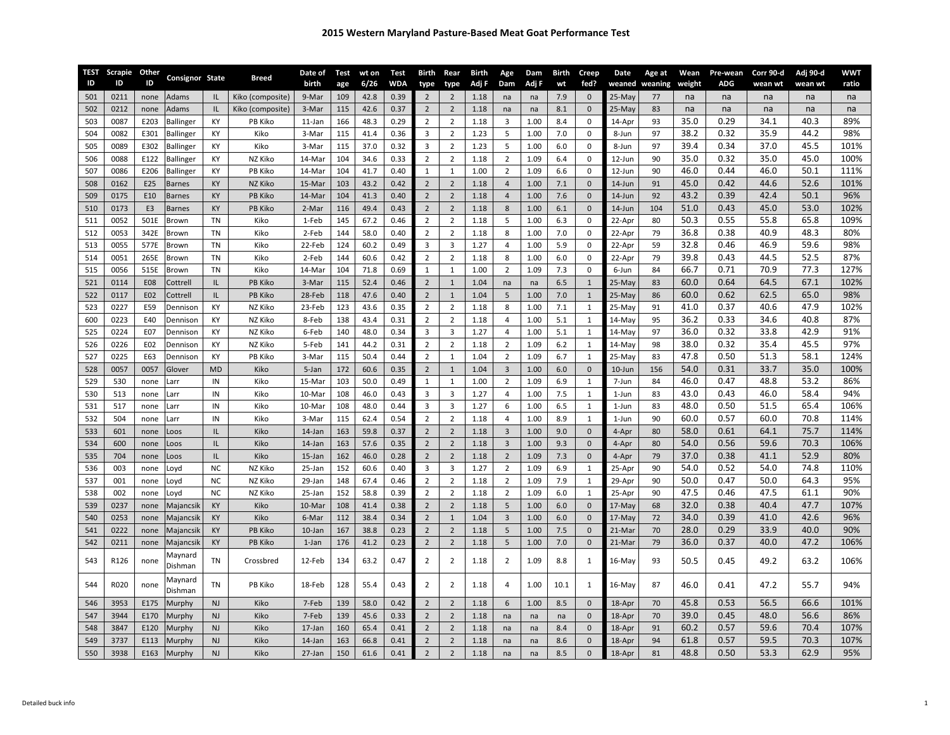| <b>TEST</b> | Scrapie      | Other          | Consignor State     |           | <b>Breed</b>                | Date of            | Test       | wt on        | <b>Test</b>  | <b>Birth</b>                     | Rear                             | Birth        | Age            | Dam        | Birth      | Creep            | Date             | Age at         | Wean       | Pre-wean   | Corr 90-d  | Adj 90-d   | <b>WWT</b> |
|-------------|--------------|----------------|---------------------|-----------|-----------------------------|--------------------|------------|--------------|--------------|----------------------------------|----------------------------------|--------------|----------------|------------|------------|------------------|------------------|----------------|------------|------------|------------|------------|------------|
| ID          | ID           | ID             |                     |           |                             | birth              | age        | 6/26         | <b>WDA</b>   | type                             | type                             | Adj F        | Dam            | Adj F      | wt         | fed?             |                  | weaned weaning | weight     | ADG        | wean wt    | wean wt    | ratio      |
| 501         | 0211         | none           | Adams               | IL.       | Kiko (composite)            | 9-Mar              | 109        | 42.8         | 0.39         | $\overline{2}$                   | $\overline{2}$                   | 1.18         | na             | na         | 7.9        | $\mathbf 0$      | 25-May           | 77             | na         | na         | na         | na         | na         |
| 502<br>503  | 0212<br>0087 | none<br>E203   | Adams<br>Ballinger  | IL<br>KY  | Kiko (composite)<br>PB Kiko | 3-Mar<br>$11$ -Jan | 115<br>166 | 42.6<br>48.3 | 0.37<br>0.29 | $\overline{2}$<br>$\overline{2}$ | $\overline{2}$<br>$\overline{2}$ | 1.18<br>1.18 | na<br>3        | na<br>1.00 | 8.1<br>8.4 | $\mathbf 0$<br>0 | 25-May<br>14-Apr | 83<br>93       | na<br>35.0 | na<br>0.29 | na<br>34.1 | na<br>40.3 | na<br>89%  |
| 504         | 0082         | E301           | Ballinger           | KY        | Kiko                        | 3-Mar              | 115        | 41.4         | 0.36         | 3                                | $\overline{2}$                   | 1.23         | 5              | 1.00       | 7.0        | 0                | 8-Jun            | 97             | 38.2       | 0.32       | 35.9       | 44.2       | 98%        |
| 505         | 0089         | E302           | <b>Ballinger</b>    | KY        | Kiko                        | 3-Mar              | 115        | 37.0         | 0.32         | 3                                | $\overline{2}$                   | 1.23         | 5              | 1.00       | 6.0        | 0                | 8-Jun            | 97             | 39.4       | 0.34       | 37.0       | 45.5       | 101%       |
| 506         | 0088         | E122           | Ballinger           | KY        | NZ Kiko                     | 14-Mar             | 104        | 34.6         | 0.33         | $\overline{2}$                   | $\overline{2}$                   | 1.18         | 2              | 1.09       | 6.4        | 0                | 12-Jun           | 90             | 35.0       | 0.32       | 35.0       | 45.0       | 100%       |
| 507         | 0086         | E206           | Ballinger           | КY        | PB Kiko                     | 14-Mar             | 104        | 41.7         | 0.40         | $\mathbf{1}$                     | $\mathbf{1}$                     | 1.00         | $\overline{2}$ | 1.09       | 6.6        | 0                | 12-Jun           | 90             | 46.0       | 0.44       | 46.0       | 50.1       | 111%       |
| 508         | 0162         | E25            | Barnes              | KY        | NZ Kiko                     | 15-Mar             | 103        | 43.2         | 0.42         | $\overline{2}$                   | $\overline{2}$                   | 1.18         | $\overline{4}$ | 1.00       | 7.1        | $\mathbf 0$      | 14-Jun           | 91             | 45.0       | 0.42       | 44.6       | 52.6       | 101%       |
| 509         | 0175         | E10            | Barnes              | KY        | <b>PB Kiko</b>              | 14-Mar             | 104        | 41.3         | 0.40         | $\overline{2}$                   | $\overline{2}$                   | 1.18         | $\overline{4}$ | 1.00       | 7.6        | $\mathbf 0$      | 14-Jun           | 92             | 43.2       | 0.39       | 42.4       | 50.1       | 96%        |
| 510         | 0173         | E <sub>3</sub> | <b>Barnes</b>       | KY        | <b>PB Kiko</b>              | 2-Mar              | 116        | 49.4         | 0.43         | $\overline{2}$                   | $\overline{2}$                   | 1.18         | 8              | 1.00       | 6.1        | $\mathbf 0$      | 14-Jun           | 104            | 51.0       | 0.43       | 45.0       | 53.0       | 102%       |
| 511         | 0052         | 501E           | Brown               | <b>TN</b> | Kiko                        | 1-Feb              | 145        | 67.2         | 0.46         | $\overline{2}$                   | $\overline{2}$                   | 1.18         | 5              | 1.00       | 6.3        | $\pmb{0}$        | 22-Apr           | 80             | 50.3       | 0.55       | 55.8       | 65.8       | 109%       |
| 512         | 0053         | 342E           | Brown               | <b>TN</b> | Kiko                        | 2-Feb              | 144        | 58.0         | 0.40         | $\overline{2}$                   | $\overline{2}$                   | 1.18         | 8              | 1.00       | 7.0        | 0                | 22-Apr           | 79             | 36.8       | 0.38       | 40.9       | 48.3       | 80%        |
| 513         | 0055         | 577E           | Brown               | TN        | Kiko                        | 22-Feb             | 124        | 60.2         | 0.49         | 3                                | $\overline{3}$                   | 1.27         | 4              | 1.00       | 5.9        | 0                | 22-Apr           | 59             | 32.8       | 0.46       | 46.9       | 59.6       | 98%        |
| 514         | 0051         | 265E           | Brown               | TN        | Kiko                        | 2-Feb              | 144        | 60.6         | 0.42         | $\overline{2}$                   | $\overline{2}$                   | 1.18         | 8              | 1.00       | 6.0        | $\mathbf 0$      | 22-Apr           | 79             | 39.8       | 0.43       | 44.5       | 52.5       | 87%        |
| 515         | 0056         | 515E           | Brown               | TN        | Kiko                        | 14-Mar             | 104        | 71.8         | 0.69         | $\mathbf{1}$                     | $\mathbf{1}$                     | 1.00         | $\overline{2}$ | 1.09       | 7.3        | $\mathbf 0$      | 6-Jun            | 84             | 66.7       | 0.71       | 70.9       | 77.3       | 127%       |
| 521         | 0114         | <b>E08</b>     | Cottrell            | IL.       | PB Kiko                     | 3-Mar              | 115        | 52.4         | 0.46         | $\overline{2}$                   | $\mathbf{1}$                     | 1.04         | na             | na         | 6.5        | $\mathbf{1}$     | 25-May           | 83             | 60.0       | 0.64       | 64.5       | 67.1       | 102%       |
| 522         | 0117         | E02            | Cottrell            | IL.       | <b>PB Kiko</b>              | 28-Feb             | 118        | 47.6         | 0.40         | $\overline{2}$                   | $\mathbf{1}$                     | 1.04         | 5              | 1.00       | 7.0        | $\mathbf{1}$     | 25-May           | 86             | 60.0       | 0.62       | 62.5       | 65.0       | 98%        |
| 523         | 0227         | E59            | Dennison            | KY        | NZ Kiko                     | 23-Feb             | 123        | 43.6         | 0.35         | $\overline{2}$                   | $\overline{2}$                   | 1.18         | 8              | 1.00       | 7.1        | $\mathbf{1}$     | 25-May           | 91             | 41.0       | 0.37       | 40.6       | 47.9       | 102%       |
| 600         | 0223         | E40            | Dennison            | KY        | NZ Kiko                     | 8-Feb              | 138        | 43.4         | 0.31         | $\overline{2}$                   | $\overline{2}$                   | 1.18         | $\overline{4}$ | 1.00       | 5.1        | $\mathbf{1}$     | $14-May$         | 95             | 36.2       | 0.33       | 34.6       | 40.8       | 87%        |
| 525         | 0224         | E07            | Dennison            | KY        | NZ Kiko                     | 6-Feb              | 140        | 48.0         | 0.34         | $\overline{3}$                   | $\overline{3}$                   | 1.27         | $\overline{4}$ | 1.00       | 5.1        | $\mathbf{1}$     | 14-May           | 97             | 36.0       | 0.32       | 33.8       | 42.9       | 91%        |
| 526         | 0226         | E02            | Dennison            | KY        | NZ Kiko                     | 5-Feb              | 141        | 44.2         | 0.31         | $\overline{2}$                   | $\overline{2}$                   | 1.18         | $\overline{2}$ | 1.09       | 6.2        | $\mathbf{1}$     | $14-May$         | 98             | 38.0       | 0.32       | 35.4       | 45.5       | 97%        |
| 527         | 0225         | E63            | Dennison            | KY        | PB Kiko                     | 3-Mar              | 115        | 50.4         | 0.44         | $\overline{2}$                   | $\mathbf{1}$                     | 1.04         | $\overline{2}$ | 1.09       | 6.7        | $\mathbf{1}$     | 25-May           | 83             | 47.8       | 0.50       | 51.3       | 58.1       | 124%       |
| 528         | 0057         | 0057           | Glover              | <b>MD</b> | Kiko                        | 5-Jan              | 172        | 60.6         | 0.35         | $\overline{2}$                   | $\mathbf{1}$                     | 1.04         | $\mathsf 3$    | 1.00       | 6.0        | $\mathbf 0$      | 10-Jun           | 156            | 54.0       | 0.31       | 33.7       | 35.0       | 100%       |
| 529         | 530          | none           | .arr                | IN        | Kiko                        | 15-Mar             | 103        | 50.0         | 0.49         | $\mathbf{1}$                     | $\mathbf{1}$                     | 1.00         | $\overline{2}$ | 1.09       | 6.9        | $\mathbf{1}$     | 7-Jun            | 84             | 46.0       | 0.47       | 48.8       | 53.2       | 86%        |
| 530         | 513          | none           | Larr                | IN        | Kiko                        | 10-Mar             | 108        | 46.0         | 0.43         | 3                                | $\overline{3}$                   | 1.27         | 4              | 1.00       | 7.5        | $\mathbf{1}$     | 1-Jun            | 83             | 43.0       | 0.43       | 46.0       | 58.4       | 94%        |
| 531         | 517          | none           | Larr                | IN        | Kiko                        | 10-Mar             | 108        | 48.0         | 0.44         | 3                                | $\overline{3}$                   | 1.27         | 6              | 1.00       | 6.5        | $\mathbf{1}$     | 1-Jun            | 83             | 48.0       | 0.50       | 51.5       | 65.4       | 106%       |
| 532         | 504          | none           | Larr                | IN        | Kiko                        | 3-Mai              | 115        | 62.4         | 0.54         | $\overline{2}$                   | $\overline{2}$                   | 1.18         | $\overline{4}$ | 1.00       | 8.9        | $\mathbf{1}$     | 1-Jun            | 90             | 60.0       | 0.57       | 60.0       | 70.8       | 114%       |
| 533         | 601          | none           | .005                | IL        | Kiko                        | 14-Jan             | 163        | 59.8         | 0.37         | $\overline{2}$                   | $\overline{2}$                   | 1.18         | 3              | 1.00       | 9.0        | $\mathbf 0$      | 4-Apr            | 80             | 58.0       | 0.61       | 64.1       | 75.7       | 114%       |
| 534         | 600          | none           | .oos                | IL        | Kiko                        | 14-Jan             | 163        | 57.6         | 0.35         | $\overline{2}$                   | $\overline{2}$                   | 1.18         | 3              | 1.00       | 9.3        | $\mathbf 0$      | 4-Apr            | 80             | 54.0       | 0.56       | 59.6       | 70.3       | 106%       |
| 535         | 704          | none           | .oos                | IL        | Kiko                        | 15-Jan             | 162        | 46.0         | 0.28         | $\overline{2}$                   | $\overline{2}$                   | 1.18         | $\overline{2}$ | 1.09       | 7.3        | $\mathbf 0$      | 4-Apr            | 79             | 37.0       | 0.38       | 41.1       | 52.9       | 80%        |
| 536         | 003          | none           | .ovd                | <b>NC</b> | NZ Kiko                     | 25-Jan             | 152        | 60.6         | 0.40         | 3                                | 3                                | 1.27         | $\overline{2}$ | 1.09       | 6.9        | $\mathbf{1}$     | 25-Apr           | 90             | 54.0       | 0.52       | 54.0       | 74.8       | 110%       |
| 537         | 001          | none           | .ovd                | <b>NC</b> | NZ Kiko                     | 29-Jan             | 148        | 67.4         | 0.46         | $\overline{2}$                   | $\overline{2}$                   | 1.18         | $\overline{2}$ | 1.09       | 7.9        | $\mathbf{1}$     | 29-Apr           | 90             | 50.0       | 0.47       | 50.0       | 64.3       | 95%        |
| 538         | 002          | none           | .oyd                | <b>NC</b> | NZ Kiko                     | 25-Jan             | 152        | 58.8         | 0.39         | $\overline{2}$                   | $\overline{2}$                   | 1.18         | $\overline{2}$ | 1.09       | 6.0        | $\mathbf{1}$     | 25-Apr           | 90             | 47.5       | 0.46       | 47.5       | 61.1       | 90%        |
| 539         | 0237         | none           | Majancsik           | KY        | Kiko                        | 10-Mar             | 108        | 41.4         | 0.38         | $\overline{2}$                   | $\overline{2}$                   | 1.18         | 5              | 1.00       | 6.0        | $\mathbf 0$      | 17-May           | 68             | 32.0       | 0.38       | 40.4       | 47.7       | 107%       |
| 540         | 0253         | none           | Majancsik           | KY        | Kiko                        | 6-Mar              | 112        | 38.4         | 0.34         | $\overline{2}$                   | $\mathbf{1}$                     | 1.04         | 3              | 1.00       | 6.0        | $\mathbf 0$      | 17-May           | 72             | 34.0       | 0.39       | 41.0       | 42.6       | 96%        |
| 541         | 0222         | none           | Majancsik           | KY        | <b>PB Kiko</b>              | $10 - Jan$         | 167        | 38.8         | 0.23         | $\overline{2}$                   | $\overline{2}$                   | 1.18         | 5              | 1.00       | 7.5        | $\mathbf{0}$     | 21-Mar           | 70             | 28.0       | 0.29       | 33.9       | 40.0       | 90%        |
| 542         | 0211         | none           | Majancsik           | KY        | PB Kiko                     | $1$ -Jan           | 176        | 41.2         | 0.23         | $\overline{2}$                   | $\overline{2}$                   | 1.18         | 5              | 1.00       | 7.0        | $\pmb{0}$        | 21-Mar           | 79             | 36.0       | 0.37       | 40.0       | 47.2       | 106%       |
| 543         | R126         | none           | Maynard<br>Dishman  | TN        | Crossbred                   | 12-Feb             | 134        | 63.2         | 0.47         | $\overline{2}$                   | $\overline{2}$                   | 1.18         | $\overline{2}$ | 1.09       | 8.8        | $\mathbf{1}$     | 16-May           | 93             | 50.5       | 0.45       | 49.2       | 63.2       | 106%       |
| 544         | R020         | none           | Vlaynard<br>Dishman | TN        | PB Kiko                     | 18-Feb             | 128        | 55.4         | 0.43         | 2                                | $\overline{2}$                   | 1.18         | $\overline{4}$ | 1.00       | 10.1       | $\mathbf{1}$     | 16-May           | 87             | 46.0       | 0.41       | 47.2       | 55.7       | 94%        |
| 546         | 3953         | E175           | Murphy              | <b>NJ</b> | Kiko                        | 7-Feb              | 139        | 58.0         | 0.42         | $\overline{2}$                   | $\overline{2}$                   | 1.18         | 6              | 1.00       | 8.5        | $\mathbf 0$      | 18-Apr           | 70             | 45.8       | 0.53       | 56.5       | 66.6       | 101%       |
| 547         | 3944         | E170           | Murphy              | <b>NJ</b> | Kiko                        | 7-Feb              | 139        | 45.6         | 0.33         | $\overline{2}$                   | $\overline{2}$                   | 1.18         | na             | na         | na         | $\mathbf{0}$     | 18-Apr           | 70             | 39.0       | 0.45       | 48.0       | 56.6       | 86%        |
| 548         | 3847         | E120           | Murphy              | <b>NJ</b> | Kiko                        | 17-Jan             | 160        | 65.4         | 0.41         | $\overline{2}$                   | $\overline{2}$                   | 1.18         | na             | na         | 8.4        | $\mathbf 0$      | 18-Apr           | 91             | 60.2       | 0.57       | 59.6       | 70.4       | 107%       |
| 549         | 3737         | E113           | Murphy              | <b>NJ</b> | Kiko                        | 14-Jan             | 163        | 66.8         | 0.41         | $\overline{2}$                   | $\overline{2}$                   | 1.18         | na             | na         | 8.6        | $\mathbf{0}$     | 18-Apr           | 94             | 61.8       | 0.57       | 59.5       | 70.3       | 107%       |
| 550         | 3938         | E163           | Murphy              | <b>NJ</b> | Kiko                        | 27-Jan             | 150        | 61.6         | 0.41         | $\overline{2}$                   | $\overline{2}$                   | 1.18         | na             | na         | 8.5        | $\pmb{0}$        | 18-Apr           | 81             | 48.8       | 0.50       | 53.3       | 62.9       | 95%        |